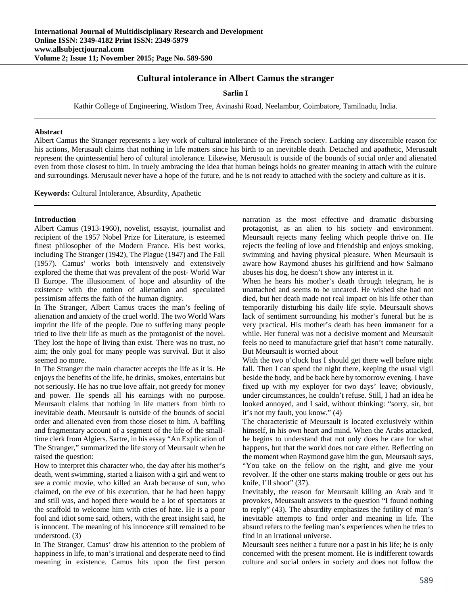# **Cultural intolerance in Albert Camus the stranger**

# **Sarlin I**

Kathir College of Engineering, Wisdom Tree, Avinashi Road, Neelambur, Coimbatore, Tamilnadu, India.

#### **Abstract**

Albert Camus the Stranger represents a key work of cultural intolerance of the French society. Lacking any discernible reason for his actions, Merusault claims that nothing in life matters since his birth to an inevitable death. Detached and apathetic, Merusault represent the quintessential hero of cultural intolerance. Likewise, Merusault is outside of the bounds of social order and alienated even from those closest to him. In truely ambracing the idea that human beings holds no greater meaning in attach with the culture and surroundings. Merusault never have a hope of the future, and he is not ready to attached with the society and culture as it is.

**Keywords:** Cultural Intolerance, Absurdity, Apathetic

## **Introduction**

Albert Camus (1913-1960), novelist, essayist, journalist and recipient of the 1957 Nobel Prize for Literature, is esteemed finest philosopher of the Modern France. His best works, including The Stranger (1942)*,* The Plague (1947) and The Fall (1957). Camus' works both intensively and extensively explored the theme that was prevalent of the post- World War II Europe. The illusionment of hope and absurdity of the existence with the notion of alienation and speculated pessimism affects the faith of the human dignity.

In The Stranger, Albert Camus traces the man's feeling of alienation and anxiety of the cruel world. The two World Wars imprint the life of the people. Due to suffering many people tried to live their life as much as the protagonist of the novel. They lost the hope of living than exist. There was no trust, no aim; the only goal for many people was survival. But it also seemed no more.

In The Stranger the main character accepts the life as it is. He enjoys the benefits of the life, he drinks, smokes, entertains but not seriously. He has no true love affair, not greedy for money and power. He spends all his earnings with no purpose. Meursault claims that nothing in life matters from birth to inevitable death. Meursault is outside of the bounds of social order and alienated even from those closet to him. A baffling and fragmentary account of a segment of the life of the smalltime clerk from Algiers. Sartre, in his essay "An Explication of The Stranger," summarized the life story of Meursault when he raised the question:

How to interpret this character who, the day after his mother's death, went swimming, started a liaison with a girl and went to see a comic movie, who killed an Arab because of sun, who claimed, on the eve of his execution, that he had been happy and still was, and hoped there would be a lot of spectators at the scaffold to welcome him with cries of hate. He is a poor fool and idiot some said, others, with the great insight said, he is innocent. The meaning of his innocence still remained to be understood. (3)

In The Stranger, Camus' draw his attention to the problem of happiness in life, to man's irrational and desperate need to find meaning in existence. Camus hits upon the first person narration as the most effective and dramatic disbursing protagonist, as an alien to his society and environment. Meursault rejects many feeling which people thrive on. He rejects the feeling of love and friendship and enjoys smoking, swimming and having physical pleasure. When Meursault is aware how Raymond abuses his girlfriend and how Salmano abuses his dog, he doesn't show any interest in it.

When he hears his mother's death through telegram, he is unattached and seems to be uncared. He wished she had not died, but her death made not real impact on his life other than temporarily disturbing his daily life style. Meursault shows lack of sentiment surrounding his mother's funeral but he is very practical. His mother's death has been immanent for a while. Her funeral was not a decisive moment and Meursault feels no need to manufacture grief that hasn't come naturally. But Meursault is worried about

With the two o'clock bus I should get there well before night fall. Then I can spend the night there, keeping the usual vigil beside the body, and be back here by tomorrow evening. I have fixed up with my exployer for two days' leave; obviously, under circumstances, he couldn't refuse. Still, I had an idea he looked annoyed, and I said, without thinking: "sorry, sir, but it's not my fault, you know." (4)

The characteristic of Meursault is located exclusively within himself, in his own heart and mind. When the Arabs attacked, he begins to understand that not only does he care for what happens, but that the world does not care either. Reflecting on the moment when Raymond gave him the gun, Meursault says, "You take on the fellow on the right, and give me your revolver. If the other one starts making trouble or gets out his knife, I'll shoot" (37).

Inevitably, the reason for Meursault killing an Arab and it provokes, Meursault answers to the question "I found nothing to reply" (43). The absurdity emphasizes the futility of man's inevitable attempts to find order and meaning in life. The absurd refers to the feeling man's experiences when he tries to find in an irrational universe.

Meursault sees neither a future nor a past in his life; he is only concerned with the present moment. He is indifferent towards culture and social orders in society and does not follow the